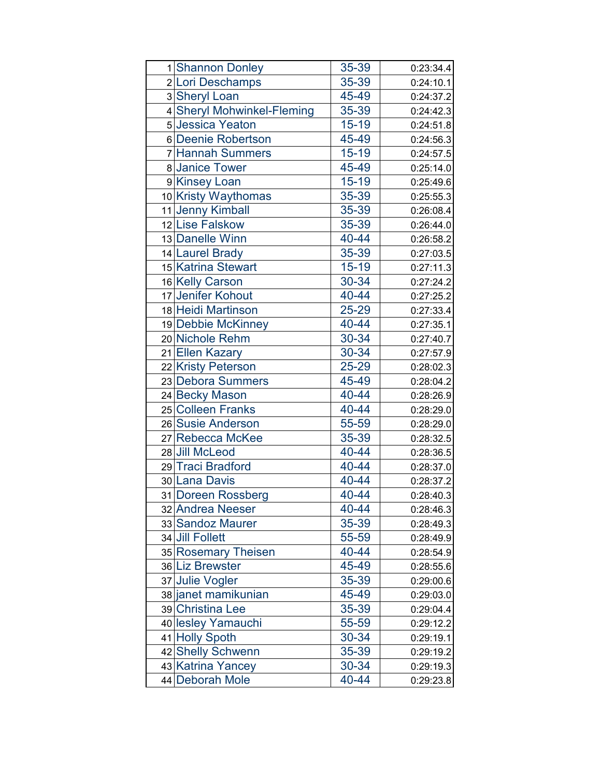| 1 Shannon Donley           | 35-39     | 0:23:34.4 |
|----------------------------|-----------|-----------|
| 2 Lori Deschamps           | 35-39     | 0:24:10.1 |
| 3 Sheryl Loan              | 45-49     | 0:24:37.2 |
| 4 Sheryl Mohwinkel-Fleming | 35-39     | 0:24:42.3 |
| 5 Jessica Yeaton           | $15 - 19$ | 0:24:51.8 |
| 6 Deenie Robertson         | 45-49     | 0:24:56.3 |
| 7 Hannah Summers           | $15 - 19$ | 0:24:57.5 |
| 8 Janice Tower             | 45-49     | 0:25:14.0 |
| 9 Kinsey Loan              | $15 - 19$ | 0:25:49.6 |
| 10 Kristy Waythomas        | 35-39     | 0:25:55.3 |
| 11 Jenny Kimball           | 35-39     | 0:26:08.4 |
| 12 Lise Falskow            | 35-39     | 0:26:44.0 |
| 13 Danelle Winn            | 40-44     | 0:26:58.2 |
| 14 Laurel Brady            | 35-39     | 0:27:03.5 |
| 15 Katrina Stewart         | $15 - 19$ | 0:27:11.3 |
| 16 Kelly Carson            | 30-34     | 0:27:24.2 |
| 17 Jenifer Kohout          | 40-44     | 0:27:25.2 |
| 18 Heidi Martinson         | 25-29     | 0:27:33.4 |
| 19 Debbie McKinney         | 40-44     | 0:27:35.1 |
| 20 Nichole Rehm            | 30-34     | 0:27:40.7 |
| 21 Ellen Kazary            | 30-34     | 0:27:57.9 |
| 22 Kristy Peterson         | 25-29     | 0:28:02.3 |
| 23 Debora Summers          | 45-49     | 0:28:04.2 |
| 24 Becky Mason             | 40-44     | 0:28:26.9 |
| 25 Colleen Franks          | 40-44     | 0:28:29.0 |
| 26 Susie Anderson          | 55-59     | 0:28:29.0 |
| 27 Rebecca McKee           | 35-39     | 0:28:32.5 |
| 28 Jill McLeod             | 40-44     | 0:28:36.5 |
| 29 Traci Bradford          | 40-44     | 0:28:37.0 |
| 30 Lana Davis              | 40-44     | 0:28:37.2 |
| 31 Doreen Rossberg         | 40-44     | 0:28:40.3 |
| 32 Andrea Neeser           | 40-44     | 0:28:46.3 |
| 33 Sandoz Maurer           | 35-39     | 0:28:49.3 |
| 34 Jill Follett            | 55-59     | 0:28:49.9 |
| 35 Rosemary Theisen        | 40-44     | 0:28:54.9 |
| 36 Liz Brewster            | 45-49     | 0:28:55.6 |
| 37 Julie Vogler            | 35-39     | 0:29:00.6 |
| 38 janet mamikunian        | 45-49     | 0:29:03.0 |
| 39 Christina Lee           | 35-39     | 0:29:04.4 |
| 40 lesley Yamauchi         | 55-59     | 0:29:12.2 |
| 41 Holly Spoth             | 30-34     | 0:29:19.1 |
| 42 Shelly Schwenn          | 35-39     | 0:29:19.2 |
| 43 Katrina Yancey          | 30-34     | 0:29:19.3 |
| 44 Deborah Mole            | 40-44     | 0:29:23.8 |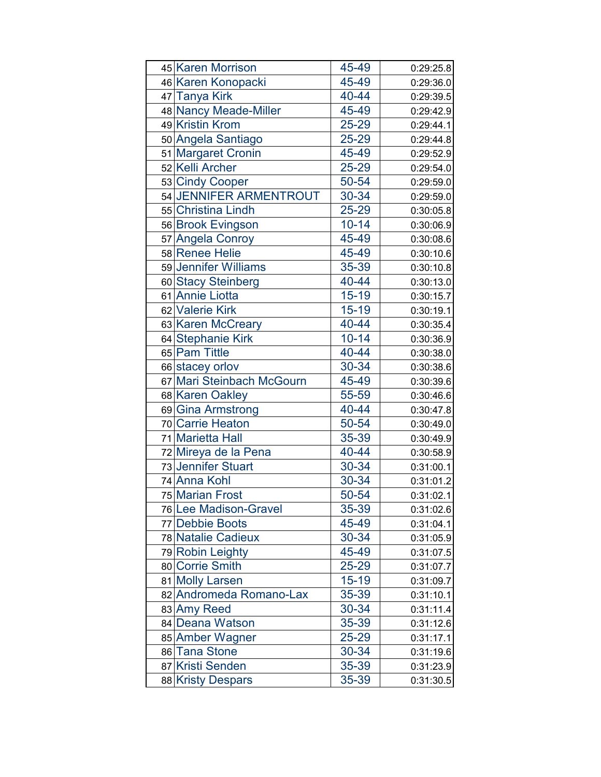| 45 Karen Morrison         | 45-49     | 0:29:25.8 |
|---------------------------|-----------|-----------|
| 46 Karen Konopacki        | 45-49     | 0:29:36.0 |
| 47 Tanya Kirk             | 40-44     | 0:29:39.5 |
| 48 Nancy Meade-Miller     | 45-49     | 0:29:42.9 |
| 49 Kristin Krom           | 25-29     | 0:29:44.1 |
| 50 Angela Santiago        | 25-29     | 0:29:44.8 |
| 51 Margaret Cronin        | 45-49     | 0:29:52.9 |
| 52 Kelli Archer           | 25-29     | 0:29:54.0 |
| 53 Cindy Cooper           | 50-54     | 0:29:59.0 |
| 54 JENNIFER ARMENTROUT    | 30-34     | 0:29:59.0 |
| 55 Christina Lindh        | 25-29     | 0:30:05.8 |
| 56 Brook Evingson         | $10 - 14$ | 0:30:06.9 |
| 57 Angela Conroy          | 45-49     | 0:30:08.6 |
| 58 Renee Helie            | 45-49     | 0:30:10.6 |
| 59 Jennifer Williams      | 35-39     | 0:30:10.8 |
| 60 Stacy Steinberg        | 40-44     | 0:30:13.0 |
| 61 Annie Liotta           | $15 - 19$ | 0:30:15.7 |
| 62 Valerie Kirk           | $15 - 19$ | 0:30:19.1 |
| 63 Karen McCreary         | 40-44     | 0:30:35.4 |
| 64 Stephanie Kirk         | $10 - 14$ | 0:30:36.9 |
| 65 Pam Tittle             | 40-44     | 0:30:38.0 |
| 66 stacey orlov           | 30-34     | 0:30:38.6 |
| 67 Mari Steinbach McGourn | 45-49     | 0:30:39.6 |
| 68 Karen Oakley           | 55-59     | 0:30:46.6 |
| 69 Gina Armstrong         | 40-44     | 0:30:47.8 |
| 70 Carrie Heaton          | 50-54     | 0:30:49.0 |
| 71 Marietta Hall          | 35-39     | 0:30:49.9 |
| 72 Mireya de la Pena      | 40-44     | 0:30:58.9 |
| 73 Jennifer Stuart        | 30-34     | 0:31:00.1 |
| 74 Anna Kohl              | 30-34     | 0:31:01.2 |
| 75 Marian Frost           | 50-54     | 0:31:02.1 |
| 76 Lee Madison-Gravel     | 35-39     | 0:31:02.6 |
| 77 Debbie Boots           | 45-49     | 0:31:04.1 |
| 78 Natalie Cadieux        | 30-34     | 0:31:05.9 |
| 79 Robin Leighty          | 45-49     | 0:31:07.5 |
| 80 Corrie Smith           | 25-29     | 0:31:07.7 |
| 81 Molly Larsen           | $15 - 19$ | 0:31:09.7 |
| 82 Andromeda Romano-Lax   | 35-39     | 0:31:10.1 |
| 83 Amy Reed               | 30-34     | 0:31:11.4 |
| 84 Deana Watson           | 35-39     | 0:31:12.6 |
| 85 Amber Wagner           | 25-29     | 0:31:17.1 |
| 86 Tana Stone             | 30-34     | 0:31:19.6 |
| 87 Kristi Senden          | 35-39     | 0:31:23.9 |
| 88 Kristy Despars         | 35-39     | 0:31:30.5 |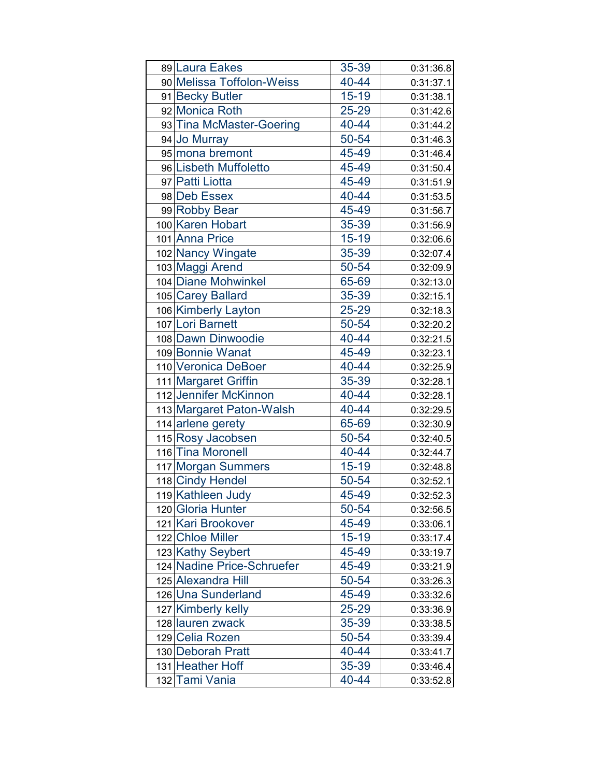| 89 Laura Eakes             | 35-39     | 0:31:36.8 |
|----------------------------|-----------|-----------|
| 90 Melissa Toffolon-Weiss  | 40-44     | 0:31:37.1 |
| 91 Becky Butler            | $15 - 19$ | 0:31:38.1 |
| 92 Monica Roth             | 25-29     | 0:31:42.6 |
| 93 Tina McMaster-Goering   | 40-44     | 0:31:44.2 |
| 94 Jo Murray               | 50-54     | 0:31:46.3 |
| 95 mona bremont            | 45-49     | 0:31:46.4 |
| 96 Lisbeth Muffoletto      | 45-49     | 0:31:50.4 |
| 97 Patti Liotta            | 45-49     | 0:31:51.9 |
| 98 Deb Essex               | 40-44     | 0:31:53.5 |
| 99 Robby Bear              | 45-49     | 0:31:56.7 |
| 100 Karen Hobart           | 35-39     | 0:31:56.9 |
| 101 Anna Price             | $15 - 19$ | 0:32:06.6 |
| 102 Nancy Wingate          | 35-39     | 0:32:07.4 |
| 103 Maggi Arend            | 50-54     | 0:32:09.9 |
| 104 Diane Mohwinkel        | 65-69     | 0:32:13.0 |
| 105 Carey Ballard          | 35-39     | 0:32:15.1 |
| 106 Kimberly Layton        | 25-29     | 0:32:18.3 |
| 107 Lori Barnett           | 50-54     | 0:32:20.2 |
| 108 Dawn Dinwoodie         | 40-44     | 0:32:21.5 |
| 109 Bonnie Wanat           | 45-49     | 0:32:23.1 |
| 110 Veronica DeBoer        | 40-44     | 0:32:25.9 |
| 111 Margaret Griffin       | 35-39     | 0:32:28.1 |
| 112 Jennifer McKinnon      | 40-44     | 0:32:28.1 |
| 113 Margaret Paton-Walsh   | 40-44     | 0:32:29.5 |
| 114 arlene gerety          | 65-69     | 0:32:30.9 |
| 115 Rosy Jacobsen          | 50-54     | 0:32:40.5 |
| 116 Tina Moronell          | 40-44     | 0:32:44.7 |
| 117 Morgan Summers         | $15 - 19$ | 0:32:48.8 |
| 118 Cindy Hendel           | 50-54     | 0:32:52.1 |
| 119 Kathleen Judy          | 45-49     | 0:32:52.3 |
| 120 Gloria Hunter          | 50-54     | 0:32:56.5 |
| 121 Kari Brookover         | 45-49     | 0:33:06.1 |
| 122 Chloe Miller           | $15 - 19$ | 0:33:17.4 |
| 123 Kathy Seybert          | 45-49     | 0:33:19.7 |
| 124 Nadine Price-Schruefer | 45-49     | 0:33:21.9 |
| 125 Alexandra Hill         | 50-54     | 0:33:26.3 |
| 126 Una Sunderland         | 45-49     | 0:33:32.6 |
| 127 Kimberly kelly         | 25-29     | 0:33:36.9 |
| 128 lauren zwack           | 35-39     | 0:33:38.5 |
| 129 Celia Rozen            | 50-54     | 0:33:39.4 |
| 130 Deborah Pratt          | 40-44     | 0:33:41.7 |
| 131 Heather Hoff           | 35-39     | 0:33:46.4 |
| 132 Tami Vania             | 40-44     | 0:33:52.8 |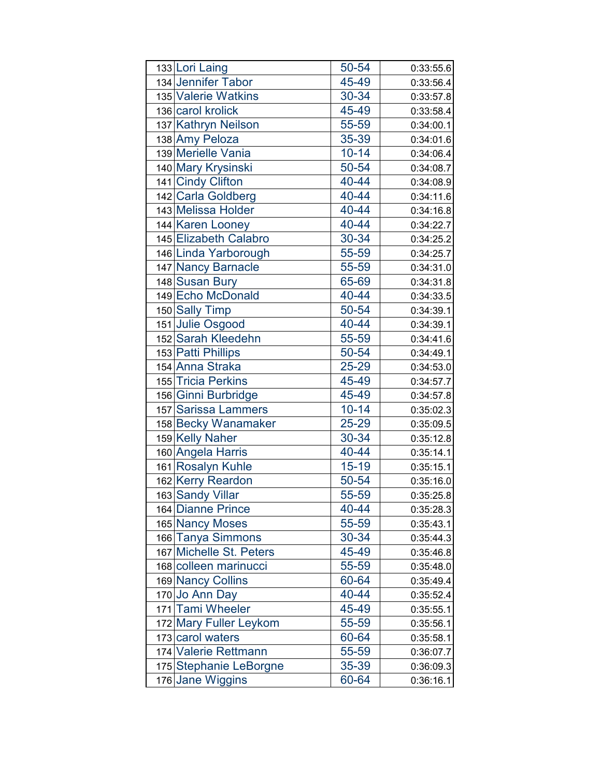| 133 Lori Laing          | 50-54     | 0:33:55.6 |
|-------------------------|-----------|-----------|
| 134 Jennifer Tabor      | 45-49     | 0:33:56.4 |
| 135 Valerie Watkins     | 30-34     | 0:33:57.8 |
| 136 carol krolick       | 45-49     | 0:33:58.4 |
| 137 Kathryn Neilson     | 55-59     | 0:34:00.1 |
| 138 Amy Peloza          | 35-39     | 0:34:01.6 |
| 139 Merielle Vania      | $10 - 14$ | 0:34:06.4 |
| 140 Mary Krysinski      | 50-54     | 0:34:08.7 |
| 141 Cindy Clifton       | 40-44     | 0:34:08.9 |
| 142 Carla Goldberg      | 40-44     | 0:34:11.6 |
| 143 Melissa Holder      | 40-44     | 0:34:16.8 |
| 144 Karen Looney        | 40-44     | 0:34:22.7 |
| 145 Elizabeth Calabro   | 30-34     | 0:34:25.2 |
| 146 Linda Yarborough    | 55-59     | 0:34:25.7 |
| 147 Nancy Barnacle      | 55-59     | 0:34:31.0 |
| 148 Susan Bury          | 65-69     | 0:34:31.8 |
| 149 Echo McDonald       | 40-44     | 0:34:33.5 |
| 150 Sally Timp          | 50-54     | 0:34:39.1 |
| 151 Julie Osgood        | 40-44     | 0:34:39.1 |
| 152 Sarah Kleedehn      | 55-59     | 0:34:41.6 |
| 153 Patti Phillips      | 50-54     | 0:34:49.1 |
| 154 Anna Straka         | 25-29     | 0:34:53.0 |
| 155 Tricia Perkins      | 45-49     | 0:34:57.7 |
| 156 Ginni Burbridge     | 45-49     | 0:34:57.8 |
| 157 Sarissa Lammers     | $10 - 14$ | 0:35:02.3 |
| 158 Becky Wanamaker     | 25-29     | 0:35:09.5 |
| 159 Kelly Naher         | 30-34     | 0:35:12.8 |
| 160 Angela Harris       | 40-44     | 0:35:14.1 |
| 161 Rosalyn Kuhle       | $15 - 19$ | 0:35:15.1 |
| 162 Kerry Reardon       | 50-54     | 0:35:16.0 |
| 163 Sandy Villar        | 55-59     | 0:35:25.8 |
| 164 Dianne Prince       | 40-44     | 0:35:28.3 |
| 165 Nancy Moses         | 55-59     | 0:35:43.1 |
| 166 Tanya Simmons       | 30-34     | 0:35:44.3 |
| 167 Michelle St. Peters | 45-49     | 0:35:46.8 |
| 168 colleen marinucci   | 55-59     | 0:35:48.0 |
| 169 Nancy Collins       | 60-64     | 0:35:49.4 |
| 170 Jo Ann Day          | 40-44     | 0:35:52.4 |
| 171 Tami Wheeler        | 45-49     | 0:35:55.1 |
| 172 Mary Fuller Leykom  | 55-59     | 0:35:56.1 |
| 173 carol waters        | 60-64     | 0:35:58.1 |
| 174 Valerie Rettmann    | 55-59     | 0:36:07.7 |
| 175 Stephanie LeBorgne  | 35-39     | 0:36:09.3 |
| 176 Jane Wiggins        | 60-64     | 0:36:16.1 |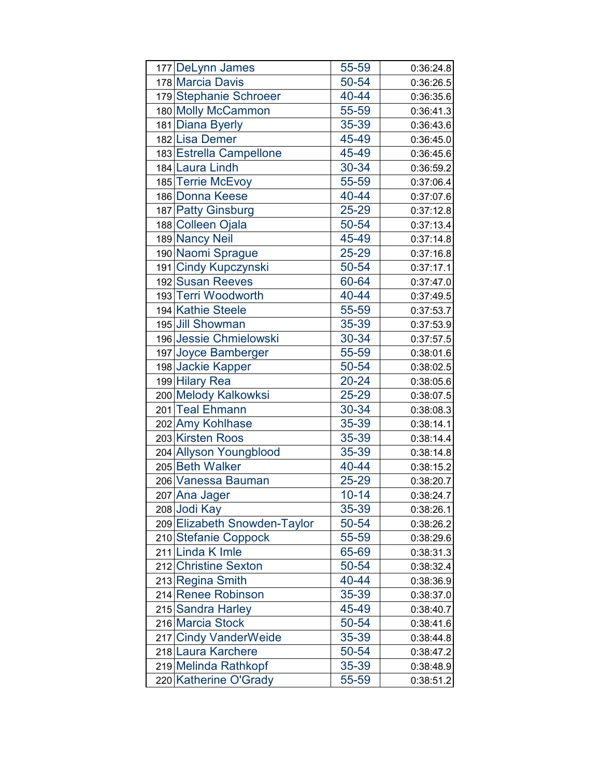| 177 DeLynn James             | 55-59     | 0:36:24.8 |
|------------------------------|-----------|-----------|
| 178 Marcia Davis             | 50-54     | 0:36:26.5 |
| 179 Stephanie Schroeer       | 40-44     | 0:36:35.6 |
| 180 Molly McCammon           | 55-59     | 0:36:41.3 |
| 181 Diana Byerly             | 35-39     | 0:36:43.6 |
| 182 Lisa Demer               | 45-49     | 0:36:45.0 |
| 183 Estrella Campellone      | 45-49     | 0:36:45.6 |
| 184 Laura Lindh              | 30-34     | 0:36:59.2 |
| 185 Terrie McEvoy            | 55-59     | 0:37:06.4 |
| 186 Donna Keese              | 40-44     | 0:37:07.6 |
| 187 Patty Ginsburg           | 25-29     | 0:37:12.8 |
| 188 Colleen Ojala            | 50-54     | 0:37:13.4 |
| 189 Nancy Neil               | 45-49     | 0:37:14.8 |
| 190 Naomi Sprague            | 25-29     | 0:37:16.8 |
| 191 Cindy Kupczynski         | 50-54     | 0:37:17.1 |
| 192 Susan Reeves             | 60-64     | 0:37:47.0 |
| 193 Terri Woodworth          | 40-44     | 0:37:49.5 |
| 194 Kathie Steele            | 55-59     | 0:37:53.7 |
| 195 Jill Showman             | 35-39     | 0:37:53.9 |
| 196 Jessie Chmielowski       | 30-34     | 0:37:57.5 |
| 197 Joyce Bamberger          | 55-59     | 0:38:01.6 |
| 198 Jackie Kapper            | 50-54     | 0:38:02.5 |
| 199 Hilary Rea               | 20-24     | 0:38:05.6 |
| 200 Melody Kalkowksi         | 25-29     | 0:38:07.5 |
| 201 Teal Ehmann              | 30-34     | 0:38:08.3 |
| 202 Amy Kohlhase             | 35-39     | 0:38:14.1 |
| 203 Kirsten Roos             | 35-39     | 0:38:14.4 |
| 204 Allyson Youngblood       | 35-39     | 0:38:14.8 |
| 205 Beth Walker              | 40-44     | 0:38:15.2 |
| 206 Vanessa Bauman           | 25-29     | 0:38:20.7 |
| 207 Ana Jager                | $10 - 14$ | 0:38:24.7 |
| 208 Jodi Kay                 | 35-39     | 0:38:26.1 |
| 209 Elizabeth Snowden-Taylor | 50-54     | 0:38:26.2 |
| 210 Stefanie Coppock         | 55-59     | 0:38:29.6 |
| 211 Linda K Imle             | 65-69     | 0:38:31.3 |
| 212 Christine Sexton         | 50-54     | 0:38:32.4 |
| 213 Regina Smith             | 40-44     | 0:38:36.9 |
| 214 Renee Robinson           | 35-39     | 0:38:37.0 |
| 215 Sandra Harley            | 45-49     | 0:38:40.7 |
| 216 Marcia Stock             | 50-54     | 0:38:41.6 |
| 217 Cindy VanderWeide        | 35-39     | 0:38:44.8 |
| 218 Laura Karchere           | 50-54     | 0:38:47.2 |
| 219 Melinda Rathkopf         | 35-39     | 0:38:48.9 |
| 220 Katherine O'Grady        | 55-59     | 0:38:51.2 |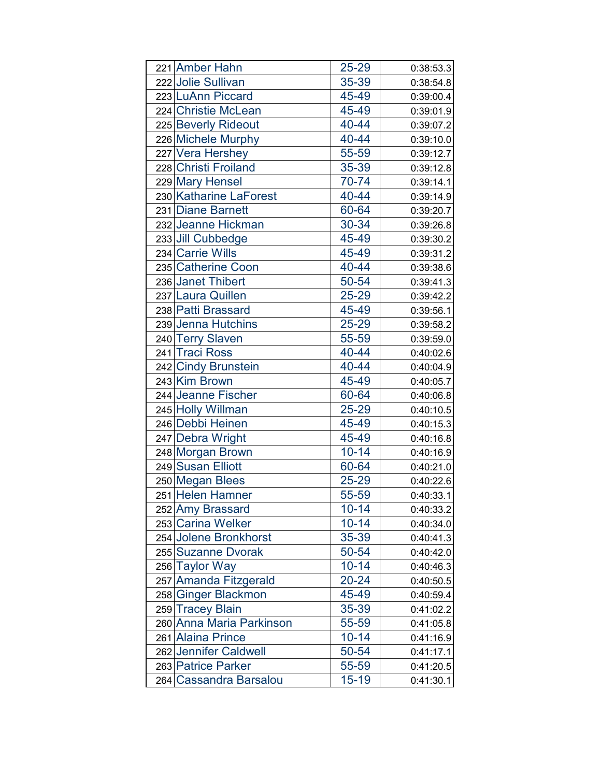| 221 Amber Hahn           | 25-29     | 0:38:53.3 |
|--------------------------|-----------|-----------|
| 222 Jolie Sullivan       | 35-39     | 0:38:54.8 |
| 223 LuAnn Piccard        | 45-49     | 0:39:00.4 |
| 224 Christie McLean      | 45-49     | 0:39:01.9 |
| 225 Beverly Rideout      | 40-44     | 0:39:07.2 |
| 226 Michele Murphy       | 40-44     | 0:39:10.0 |
| 227 Vera Hershey         | 55-59     | 0:39:12.7 |
| 228 Christi Froiland     | 35-39     | 0:39:12.8 |
| 229 Mary Hensel          | 70-74     | 0:39:14.1 |
| 230 Katharine LaForest   | 40-44     | 0:39:14.9 |
| 231 Diane Barnett        | 60-64     | 0:39:20.7 |
| 232 Jeanne Hickman       | 30-34     | 0:39:26.8 |
| 233 Jill Cubbedge        | 45-49     | 0:39:30.2 |
| 234 Carrie Wills         | 45-49     | 0:39:31.2 |
| 235 Catherine Coon       | 40-44     | 0:39:38.6 |
| 236 Janet Thibert        | 50-54     | 0:39:41.3 |
| 237 Laura Quillen        | 25-29     | 0:39:42.2 |
| 238 Patti Brassard       | 45-49     | 0:39:56.1 |
| 239 Jenna Hutchins       | 25-29     | 0:39:58.2 |
| 240 Terry Slaven         | 55-59     | 0:39:59.0 |
| 241 Traci Ross           | 40-44     | 0:40:02.6 |
| 242 Cindy Brunstein      | 40-44     | 0:40:04.9 |
| 243 Kim Brown            | 45-49     | 0:40:05.7 |
| 244 Jeanne Fischer       | 60-64     | 0:40:06.8 |
| 245 Holly Willman        | 25-29     | 0:40:10.5 |
| 246 Debbi Heinen         | 45-49     | 0:40:15.3 |
| 247 Debra Wright         | 45-49     | 0:40:16.8 |
| 248 Morgan Brown         | $10 - 14$ | 0:40:16.9 |
| 249 Susan Elliott        | 60-64     | 0:40:21.0 |
| 250 Megan Blees          | 25-29     | 0:40:22.6 |
| 251 Helen Hamner         | 55-59     | 0:40:33.1 |
| 252 Amy Brassard         | $10 - 14$ | 0:40:33.2 |
| 253 Carina Welker        | $10 - 14$ | 0:40:34.0 |
| 254 Jolene Bronkhorst    | 35-39     | 0:40:41.3 |
| 255 Suzanne Dvorak       | 50-54     | 0:40:42.0 |
| 256 Taylor Way           | $10 - 14$ | 0:40:46.3 |
| 257 Amanda Fitzgerald    | $20 - 24$ | 0:40:50.5 |
| 258 Ginger Blackmon      | 45-49     | 0:40:59.4 |
| 259 Tracey Blain         | 35-39     | 0:41:02.2 |
| 260 Anna Maria Parkinson | 55-59     | 0:41:05.8 |
| 261 Alaina Prince        | $10 - 14$ | 0:41:16.9 |
| 262 Jennifer Caldwell    | 50-54     | 0:41:17.1 |
| 263 Patrice Parker       | 55-59     | 0:41:20.5 |
| 264 Cassandra Barsalou   | $15 - 19$ | 0:41:30.1 |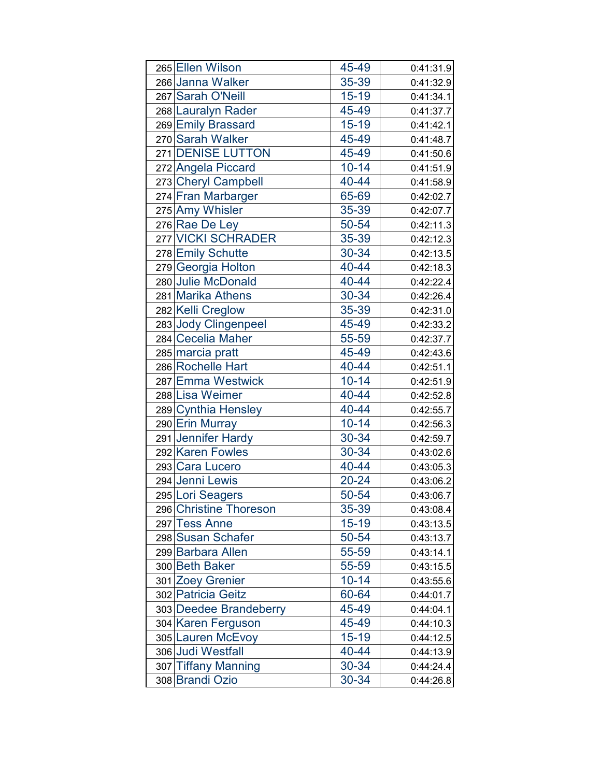| 265 Ellen Wilson       | 45-49     | 0:41:31.9 |
|------------------------|-----------|-----------|
| 266 Janna Walker       | 35-39     | 0:41:32.9 |
| 267 Sarah O'Neill      | $15 - 19$ | 0:41:34.1 |
| 268 Lauralyn Rader     | 45-49     | 0:41:37.7 |
| 269 Emily Brassard     | $15 - 19$ | 0:41:42.1 |
| 270 Sarah Walker       | 45-49     | 0:41:48.7 |
| 271 DENISE LUTTON      | 45-49     | 0:41:50.6 |
| 272 Angela Piccard     | $10 - 14$ | 0:41:51.9 |
| 273 Cheryl Campbell    | 40-44     | 0:41:58.9 |
| 274 Fran Marbarger     | 65-69     | 0:42:02.7 |
| 275 Amy Whisler        | 35-39     | 0:42:07.7 |
| 276 Rae De Ley         | 50-54     | 0:42:11.3 |
| 277 VICKI SCHRADER     | 35-39     | 0:42:12.3 |
| 278 Emily Schutte      | 30-34     | 0:42:13.5 |
| 279 Georgia Holton     | 40-44     | 0:42:18.3 |
| 280 Julie McDonald     | 40-44     | 0:42:22.4 |
| 281 Marika Athens      | 30-34     | 0:42:26.4 |
| 282 Kelli Creglow      | 35-39     | 0:42:31.0 |
| 283 Jody Clingenpeel   | 45-49     | 0:42:33.2 |
| 284 Cecelia Maher      | 55-59     | 0:42:37.7 |
| 285 marcia pratt       | 45-49     | 0:42:43.6 |
| 286 Rochelle Hart      | 40-44     | 0:42:51.1 |
| 287 Emma Westwick      | $10 - 14$ | 0:42:51.9 |
| 288 Lisa Weimer        | 40-44     | 0:42:52.8 |
| 289 Cynthia Hensley    | 40-44     | 0:42:55.7 |
| 290 Erin Murray        | $10 - 14$ | 0:42:56.3 |
| 291 Jennifer Hardy     | 30-34     | 0:42:59.7 |
| 292 Karen Fowles       | 30-34     | 0:43:02.6 |
| 293 Cara Lucero        | 40-44     | 0:43:05.3 |
| 294 Jenni Lewis        | 20-24     | 0:43:06.2 |
| 295 Lori Seagers       | 50-54     | 0:43:06.7 |
| 296 Christine Thoreson | 35-39     | 0:43:08.4 |
| 297 Tess Anne          | $15 - 19$ | 0:43:13.5 |
| 298 Susan Schafer      | 50-54     | 0:43:13.7 |
| 299 Barbara Allen      | 55-59     | 0:43:14.1 |
| 300 Beth Baker         | 55-59     | 0:43:15.5 |
| 301 Zoey Grenier       | $10 - 14$ | 0:43:55.6 |
| 302 Patricia Geitz     | 60-64     | 0:44:01.7 |
| 303 Deedee Brandeberry | 45-49     | 0:44:04.1 |
| 304 Karen Ferguson     | 45-49     | 0:44:10.3 |
| 305 Lauren McEvoy      | $15 - 19$ | 0:44:12.5 |
| 306 Judi Westfall      | 40-44     | 0:44:13.9 |
| 307 Tiffany Manning    | 30-34     | 0:44:24.4 |
| 308 Brandi Ozio        | 30-34     | 0:44:26.8 |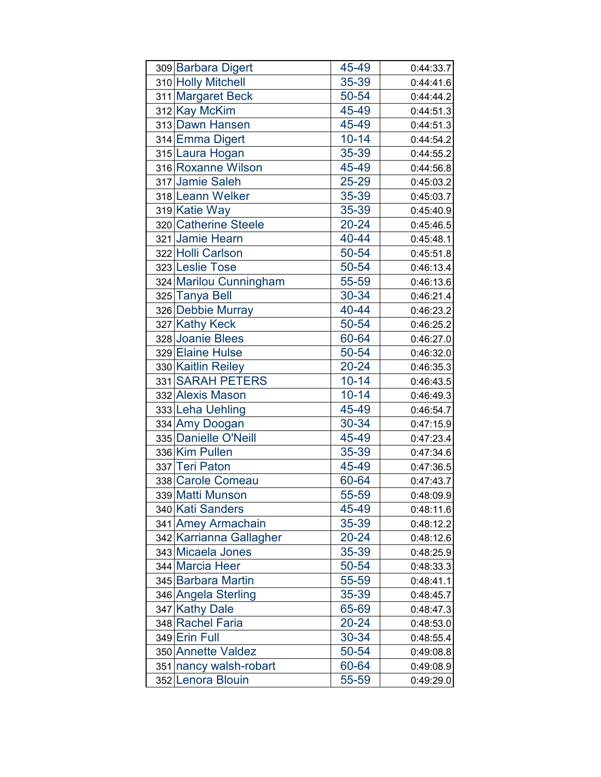| 309 Barbara Digert      | 45-49     | 0:44:33.7 |
|-------------------------|-----------|-----------|
| 310 Holly Mitchell      | 35-39     | 0:44:41.6 |
| 311 Margaret Beck       | 50-54     | 0:44:44.2 |
| 312 Kay McKim           | 45-49     | 0:44:51.3 |
| 313 Dawn Hansen         | 45-49     | 0:44:51.3 |
| 314 Emma Digert         | $10 - 14$ | 0:44:54.2 |
| 315 Laura Hogan         | 35-39     | 0:44:55.2 |
| 316 Roxanne Wilson      | 45-49     | 0:44:56.8 |
| 317 Jamie Saleh         | 25-29     | 0:45:03.2 |
| 318 Leann Welker        | 35-39     | 0:45:03.7 |
| 319 Katie Way           | 35-39     | 0:45:40.9 |
| 320 Catherine Steele    | 20-24     | 0:45:46.5 |
| 321 Jamie Hearn         | 40-44     | 0:45:48.1 |
| 322 Holli Carlson       | 50-54     | 0:45:51.8 |
| 323 Leslie Tose         | 50-54     | 0:46:13.4 |
| 324 Marilou Cunningham  | 55-59     | 0:46:13.6 |
| 325 Tanya Bell          | 30-34     | 0:46:21.4 |
| 326 Debbie Murray       | 40-44     | 0:46:23.2 |
| 327 Kathy Keck          | 50-54     | 0:46:25.2 |
| 328 Joanie Blees        | 60-64     | 0:46:27.0 |
| 329 Elaine Hulse        | 50-54     | 0:46:32.0 |
| 330 Kaitlin Reiley      | 20-24     | 0:46:35.3 |
| 331 SARAH PETERS        | $10 - 14$ | 0:46:43.5 |
| 332 Alexis Mason        | $10 - 14$ | 0:46:49.3 |
| 333 Leha Uehling        | 45-49     | 0:46:54.7 |
| 334 Amy Doogan          | 30-34     | 0:47:15.9 |
| 335 Danielle O'Neill    | 45-49     | 0:47:23.4 |
| 336 Kim Pullen          | 35-39     | 0:47:34.6 |
| 337 Teri Paton          | 45-49     | 0:47:36.5 |
| 338 Carole Comeau       | 60-64     | 0:47:43.7 |
| 339 Matti Munson        | 55-59     | 0:48:09.9 |
| 340 Kati Sanders        | 45-49     | 0:48:11.6 |
| 341 Amey Armachain      | 35-39     | 0:48:12.2 |
| 342 Karrianna Gallagher | 20-24     | 0:48:12.6 |
| 343 Micaela Jones       | 35-39     | 0:48:25.9 |
| 344 Marcia Heer         | 50-54     | 0:48:33.3 |
| 345 Barbara Martin      | 55-59     | 0:48:41.1 |
| 346 Angela Sterling     | 35-39     | 0:48:45.7 |
| 347 Kathy Dale          | 65-69     | 0:48:47.3 |
| 348 Rachel Faria        | 20-24     | 0:48:53.0 |
| 349 Erin Full           | 30-34     | 0:48:55.4 |
| 350 Annette Valdez      | 50-54     | 0:49:08.8 |
| 351 nancy walsh-robart  | 60-64     | 0:49:08.9 |
| 352 Lenora Blouin       | 55-59     | 0:49:29.0 |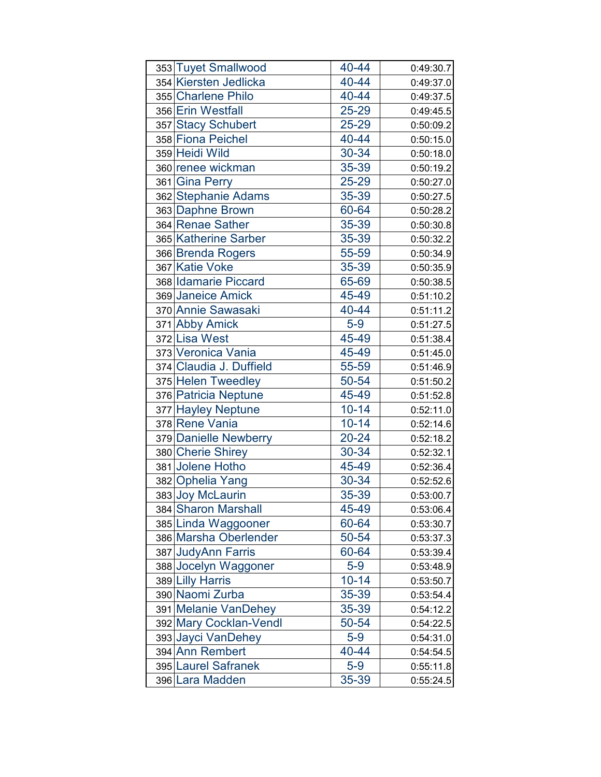| 353 Tuyet Smallwood     | 40-44     | 0:49:30.7 |
|-------------------------|-----------|-----------|
| 354 Kiersten Jedlicka   | 40-44     | 0:49:37.0 |
| 355 Charlene Philo      | 40-44     | 0:49:37.5 |
| 356 Erin Westfall       | 25-29     | 0:49:45.5 |
| 357 Stacy Schubert      | 25-29     | 0:50:09.2 |
| 358 Fiona Peichel       | 40-44     | 0:50:15.0 |
| 359 Heidi Wild          | 30-34     | 0:50:18.0 |
| 360 renee wickman       | 35-39     | 0:50:19.2 |
| 361 Gina Perry          | 25-29     | 0:50:27.0 |
| 362 Stephanie Adams     | 35-39     | 0:50:27.5 |
| 363 Daphne Brown        | 60-64     | 0:50:28.2 |
| 364 Renae Sather        | 35-39     | 0:50:30.8 |
| 365 Katherine Sarber    | 35-39     | 0:50:32.2 |
| 366 Brenda Rogers       | 55-59     | 0:50:34.9 |
| 367 Katie Voke          | 35-39     | 0:50:35.9 |
| 368 Idamarie Piccard    | 65-69     | 0:50:38.5 |
| 369 Janeice Amick       | 45-49     | 0:51:10.2 |
| 370 Annie Sawasaki      | 40-44     | 0:51:11.2 |
| 371 Abby Amick          | $5-9$     | 0:51:27.5 |
| 372 Lisa West           | 45-49     | 0:51:38.4 |
| 373 Veronica Vania      | 45-49     | 0:51:45.0 |
| 374 Claudia J. Duffield | 55-59     | 0:51:46.9 |
| 375 Helen Tweedley      | 50-54     | 0:51:50.2 |
| 376 Patricia Neptune    | 45-49     | 0:51:52.8 |
| 377 Hayley Neptune      | $10 - 14$ | 0:52:11.0 |
| 378 Rene Vania          | $10 - 14$ | 0:52:14.6 |
| 379 Danielle Newberry   | $20 - 24$ | 0:52:18.2 |
| 380 Cherie Shirey       | 30-34     | 0:52:32.1 |
| 381 Jolene Hotho        | 45-49     | 0:52:36.4 |
| 382 Ophelia Yang        | 30-34     | 0:52:52.6 |
| 383 Joy McLaurin        | 35-39     | 0:53:00.7 |
| 384 Sharon Marshall     | 45-49     | 0:53:06.4 |
| 385 Linda Waggooner     | 60-64     | 0:53:30.7 |
| 386 Marsha Oberlender   | 50-54     | 0:53:37.3 |
| 387 JudyAnn Farris      | 60-64     | 0:53:39.4 |
| 388 Jocelyn Waggoner    | $5-9$     | 0:53:48.9 |
| 389 Lilly Harris        | $10 - 14$ | 0:53:50.7 |
| 390 Naomi Zurba         | 35-39     | 0:53:54.4 |
| 391 Melanie VanDehey    | 35-39     | 0:54:12.2 |
| 392 Mary Cocklan-Vendl  | 50-54     | 0:54:22.5 |
| 393 Jayci VanDehey      | $5-9$     | 0:54:31.0 |
| 394 Ann Rembert         | 40-44     | 0:54:54.5 |
| 395 Laurel Safranek     | $5-9$     | 0:55:11.8 |
| 396 Lara Madden         | 35-39     | 0:55:24.5 |